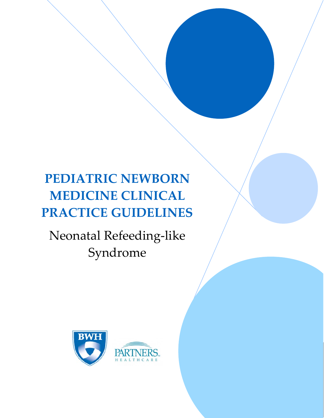# **PEDIATRIC NEWBORN MEDICINE CLINICAL PRACTICE GUIDELINES**

 

Neonatal Refeeding‐like Syndrome



 $\mathbf{1}$  , the contract of  $\mathbf{1}$  , the contract of  $\mathbf{1}$  , the contract of  $\mathbf{1}$  ,  $\mathbf{1}$  ,  $\mathbf{1}$  ,  $\mathbf{1}$  ,  $\mathbf{1}$  ,  $\mathbf{1}$  ,  $\mathbf{1}$  ,  $\mathbf{1}$  ,  $\mathbf{1}$  ,  $\mathbf{1}$  ,  $\mathbf{1}$  ,  $\mathbf{1}$  ,  $\mathbf{1}$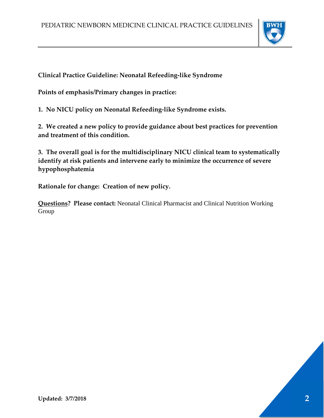

**Clinical Practice Guideline: Neonatal Refeeding‐like Syndrome**

**Points of emphasis/Primary changes in practice:**

**1. No NICU policy on Neonatal Refeeding‐like Syndrome exists.**

**2. We created a new policy to provide guidance about best practices for prevention and treatment of this condition.**

**3. The overall goal is for the multidisciplinary NICU clinical team to systematically identify at risk patients and intervene early to minimize the occurrence of severe hypophosphatemia**

**Rationale for change: Creation of new policy.**

**Questions? Please contact:** Neonatal Clinical Pharmacist and Clinical Nutrition Working Group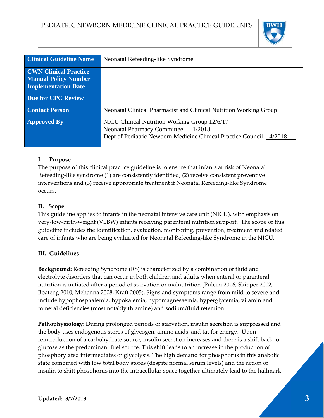

| <b>Clinical Guideline Name</b>                              | Neonatal Refeeding-like Syndrome                                                                                                                             |
|-------------------------------------------------------------|--------------------------------------------------------------------------------------------------------------------------------------------------------------|
| <b>CWN Clinical Practice</b><br><b>Manual Policy Number</b> |                                                                                                                                                              |
| <b>Implementation Date</b>                                  |                                                                                                                                                              |
| <b>Due for CPC Review</b>                                   |                                                                                                                                                              |
| <b>Contact Person</b>                                       | Neonatal Clinical Pharmacist and Clinical Nutrition Working Group                                                                                            |
| <b>Approved By</b>                                          | NICU Clinical Nutrition Working Group 12/6/17<br>Neonatal Pharmacy Committee _1/2018<br>Dept of Pediatric Newborn Medicine Clinical Practice Council _4/2018 |

# **I. Purpose**

The purpose of this clinical practice guideline is to ensure that infants at risk of Neonatal Refeeding-like syndrome (1) are consistently identified, (2) receive consistent preventive interventions and (3) receive appropriate treatment if Neonatal Refeeding-like Syndrome occurs.

# **II. Scope**

This guideline applies to infants in the neonatal intensive care unit (NICU), with emphasis on very‐low‐birth‐weight (VLBW) infants receiving parenteral nutrition support. The scope of this guideline includes the identification, evaluation, monitoring, prevention, treatment and related care of infants who are being evaluated for Neonatal Refeeding‐like Syndrome in the NICU.

## **III. Guidelines**

**Background:** Refeeding Syndrome (RS) is characterized by a combination of fluid and electrolyte disorders that can occur in both children and adults when enteral or parenteral nutrition is initiated after a period of starvation or malnutrition (Pulcini 2016, Skipper 2012, Boateng 2010, Mehanna 2008, Kraft 2005). Signs and symptoms range from mild to severe and include hypophosphatemia, hypokalemia, hypomagnesaemia, hyperglycemia, vitamin and mineral deficiencies (most notably thiamine) and sodium/fluid retention.

**Pathophysiology:** During prolonged periods of starvation, insulin secretion is suppressed and the body uses endogenous stores of glycogen, amino acids, and fat for energy. Upon reintroduction of a carbohydrate source, insulin secretion increases and there is a shift back to glucose as the predominant fuel source. This shift leads to an increase in the production of phosphorylated intermediates of glycolysis. The high demand for phosphorus in this anabolic state combined with low total body stores (despite normal serum levels) and the action of insulin to shift phosphorus into the intracellular space together ultimately lead to the hallmark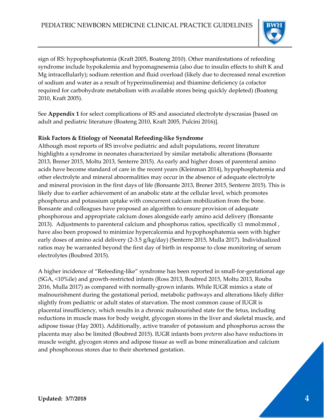

sign of RS: hypophosphatemia (Kraft 2005, Boateng 2010). Other manifestations of refeeding syndrome include hypokalemia and hypomagnesemia (also due to insulin effects to shift K and Mg intracellularly); sodium retention and fluid overload (likely due to decreased renal excretion of sodium and water as a result of hyperinsulinemia) and thiamine deficiency (a cofactor required for carbohydrate metabolism with available stores being quickly depleted) (Boateng 2010, Kraft 2005).

See **Appendix 1** for select complications of RS and associated electrolyte dyscrasias [based on adult and pediatric literature (Boateng 2010, Kraft 2005, Pulcini 2016)].

#### **Risk Factors & Etiology of Neonatal Refeeding‐like Syndrome**

Although most reports of RS involve pediatric and adult populations, recent literature highlights a syndrome in neonates characterized by similar metabolic alterations (Bonsante 2013, Brener 2015, Moltu 2013, Senterre 2015). As early and higher doses of parenteral amino acids have become standard of care in the recent years (Kleinman 2014), hypophosphatemia and other electrolyte and mineral abnormalities may occur in the absence of adequate electrolyte and mineral provision in the first days of life (Bonsante 2013, Brener 2015, Senterre 2015). This is likely due to earlier achievement of an anabolic state at the cellular level, which promotes phosphorus and potassium uptake with concurrent calcium mobilization from the bone. Bonsante and colleagues have proposed an algorithm to ensure provision of adequate phosphorous and appropriate calcium doses alongside early amino acid delivery (Bonsante 2013). Adjustments to parenteral calcium and phosphorus ratios, specifically  $\leq 1$  mmol:mmol, have also been proposed to minimize hypercalcemia and hypophosphatemia seen with higher early doses of amino acid delivery (2‐3.5 g/kg/day) (Senterre 2015, Mulla 2017). Individualized ratios may be warranted beyond the first day of birth in response to close monitoring of serum electrolytes (Boubred 2015).

A higher incidence of "Refeeding‐like" syndrome has been reported in small‐for‐gestational age (SGA, <10%ile) and growth‐restricted infants (Ross 2013, Boubred 2015, Moltu 2013, Rouba 2016, Mulla 2017) as compared with normally‐grown infants. While IUGR mimics a state of malnourishment during the gestational period, metabolic pathways and alterations likely differ slightly from pediatric or adult states of starvation. The most common cause of IUGR is placental insufficiency, which results in a chronic malnourished state for the fetus, including reductions in muscle mass for body weight, glycogen stores in the liver and skeletal muscle, and adipose tissue (Hay 2001). Additionally, active transfer of potassium and phosphorus across the placenta may also be limited (Boubred 2015). IUGR infants born *preterm* also have reductions in muscle weight, glycogen stores and adipose tissue as well as bone mineralization and calcium and phosphorous stores due to their shortened gestation.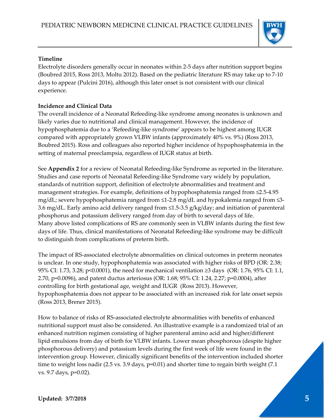

#### **Timeline**

Electrolyte disorders generally occur in neonates within 2‐5 days after nutrition support begins (Boubred 2015, Ross 2013, Moltu 2012). Based on the pediatric literature RS may take up to 7‐10 days to appear (Pulcini 2016), although this later onset is not consistent with our clinical experience.

## **Incidence and Clinical Data**

The overall incidence of a Neonatal Refeeding‐like syndrome among neonates is unknown and likely varies due to nutritional and clinical management. However, the incidence of hypophosphatemia due to a 'Refeeding‐like syndrome' appears to be highest among IUGR compared with appropriately grown VLBW infants (approximately 40% vs. 9%) (Ross 2013, Boubred 2015). Ross and colleagues also reported higher incidence of hypophosphatemia in the setting of maternal preeclampsia, regardless of IUGR status at birth.

See **Appendix 2** for a review of Neonatal Refeeding‐like Syndrome as reported in the literature. Studies and case reports of Neonatal Refeeding‐like Syndrome vary widely by population, standards of nutrition support, definition of electrolyte abnormalities and treatment and management strategies. For example, definitions of hypophosphatemia ranged from ≤2.5‐4.95 mg/dL; severe hypophosphatemia ranged from ≤1‐2.8 mg/dL and hypokalemia ranged from ≤3‐ 3.6 mg/dL. Early amino acid delivery ranged from ≤1.5‐3.5 g/kg/day; and initiation of parenteral phosphorus and potassium delivery ranged from day of birth to several days of life. Many above listed complications of RS are commonly seen in VLBW infants during the first few days of life. Thus, clinical manifestations of Neonatal Refeeding‐like syndrome may be difficult to distinguish from complications of preterm birth.

The impact of RS‐associated electrolyte abnormalities on clinical outcomes in preterm neonates is unclear. In one study, hypophosphatemia was associated with higher risks of BPD (OR: 2.38; 95% CI: 1.73, 3.28; p<0.0001), the need for mechanical ventilation ≥3 days (OR: 1.76, 95% CI: 1.1, 2.70, p=0.0096), and patent ductus arteriosus (OR: 1.68; 95% CI: 1.24, 2.27; p=0.0004), after controlling for birth gestational age, weight and IUGR (Ross 2013). However, hypophosphatemia does not appear to be associated with an increased risk for late onset sepsis (Ross 2013, Brener 2015).

How to balance of risks of RS‐associated electrolyte abnormalities with benefits of enhanced nutritional support must also be considered. An illustrative example is a randomized trial of an enhanced nutrition regimen consisting of higher parenteral amino acid and higher/different lipid emulsions from day of birth for VLBW infants. Lower mean phosphorous (despite higher phosphorous delivery) and potassium levels during the first week of life were found in the intervention group. However, clinically significant benefits of the intervention included shorter time to weight loss nadir (2.5 vs. 3.9 days, p=0.01) and shorter time to regain birth weight (7.1) vs. 9.7 days, p=0.02).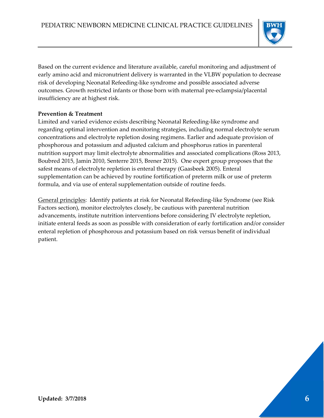

Based on the current evidence and literature available, careful monitoring and adjustment of early amino acid and micronutrient delivery is warranted in the VLBW population to decrease risk of developing Neonatal Refeeding‐like syndrome and possible associated adverse outcomes. Growth restricted infants or those born with maternal pre‐eclampsia/placental insufficiency are at highest risk.

#### **Prevention & Treatment**

Limited and varied evidence exists describing Neonatal Refeeding-like syndrome and regarding optimal intervention and monitoring strategies, including normal electrolyte serum concentrations and electrolyte repletion dosing regimens. Earlier and adequate provision of phosphorous and potassium and adjusted calcium and phosphorus ratios in parenteral nutrition support may limit electrolyte abnormalities and associated complications (Ross 2013, Boubred 2015, Jamin 2010, Senterre 2015, Brener 2015). One expert group proposes that the safest means of electrolyte repletion is enteral therapy (Gaasbeek 2005). Enteral supplementation can be achieved by routine fortification of preterm milk or use of preterm formula, and via use of enteral supplementation outside of routine feeds.

General principles: Identify patients at risk for Neonatal Refeeding-like Syndrome (see Risk Factors section), monitor electrolytes closely, be cautious with parenteral nutrition advancements, institute nutrition interventions before considering IV electrolyte repletion, initiate enteral feeds as soon as possible with consideration of early fortification and/or consider enteral repletion of phosphorous and potassium based on risk versus benefit of individual patient.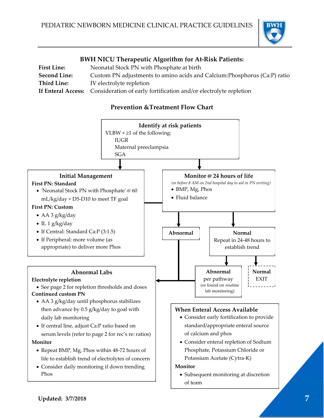

# **BWH NICU Therapeutic Algorithm for At‐Risk Patients:**

| <b>First Line:</b>  | Neonatal Stock PN with Phosphate at birth                                            |  |  |
|---------------------|--------------------------------------------------------------------------------------|--|--|
| <b>Second Line:</b> | Custom PN adjustments to amino acids and Calcium: Phosphorus (Ca:P) ratio            |  |  |
| Third Line:         | IV electrolyte repletion                                                             |  |  |
|                     | If Enteral Access: Consideration of early fortification and/or electrolyte repletion |  |  |

# **Prevention &Treatment Flow Chart**

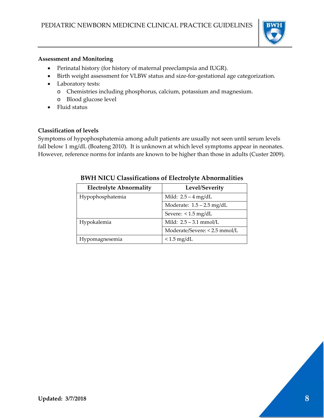

#### **Assessment and Monitoring**

- Perinatal history (for history of maternal preeclampsia and IUGR).
- Birth weight assessment for VLBW status and size-for-gestational age categorization.
- Laboratory tests:
	- o Chemistries including phosphorus, calcium, potassium and magnesium.
	- o Blood glucose level
- Fluid status

#### **Classification of levels**

Symptoms of hypophosphatemia among adult patients are usually not seen until serum levels fall below 1 mg/dL (Boateng 2010). It is unknown at which level symptoms appear in neonates. However, reference norms for infants are known to be higher than those in adults (Custer 2009).

| <b>Electrolyte Abnormality</b> | Level/Severity                |
|--------------------------------|-------------------------------|
| Hypophosphatemia               | Mild: $2.5 - 4$ mg/dL         |
|                                | Moderate: $1.5 - 2.5$ mg/dL   |
|                                | Severe: $< 1.5$ mg/dL         |
| Hypokalemia                    | Mild: $2.5 - 3.1$ mmol/L      |
|                                | Moderate/Severe: < 2.5 mmol/L |
| Hypomagnesemia                 | $< 1.5$ mg/dL                 |

# **BWH NICU Classifications of Electrolyte Abnormalities**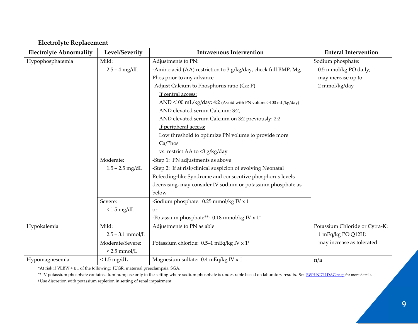# **Electrolyte Replacement**

| <b>Electrolyte Abnormality</b> | Level/Severity     | <b>Intravenous Intervention</b>                                 | <b>Enteral Intervention</b>    |
|--------------------------------|--------------------|-----------------------------------------------------------------|--------------------------------|
| Hypophosphatemia               | Mild:              | Adjustments to PN:                                              | Sodium phosphate:              |
|                                | $2.5 - 4$ mg/dL    | -Amino acid (AA) restriction to 3 g/kg/day, check full BMP, Mg, | 0.5 mmol/kg PO daily;          |
|                                |                    | Phos prior to any advance                                       | may increase up to             |
|                                |                    | -Adjust Calcium to Phosphorus ratio (Ca: P)                     | 2 mmol/kg/day                  |
|                                |                    | If central access:                                              |                                |
|                                |                    | AND <100 mL/kg/day: 4:2 (Avoid with PN volume >100 mL/kg/day)   |                                |
|                                |                    | AND elevated serum Calcium: 3:2,                                |                                |
|                                |                    | AND elevated serum Calcium on 3:2 previously: 2:2               |                                |
|                                |                    | If peripheral access:                                           |                                |
|                                |                    | Low threshold to optimize PN volume to provide more             |                                |
|                                |                    | Ca/Phos                                                         |                                |
|                                |                    | vs. restrict AA to <3 g/kg/day                                  |                                |
|                                | Moderate:          | -Step 1: PN adjustments as above                                |                                |
|                                | $1.5 - 2.5$ mg/dL  | -Step 2: If at risk/clinical suspicion of evolving Neonatal     |                                |
|                                |                    | Refeeding-like Syndrome and consecutive phosphorus levels       |                                |
|                                |                    | decreasing, may consider IV sodium or potassium phosphate as    |                                |
|                                |                    | below                                                           |                                |
|                                | Severe:            | -Sodium phosphate: 0.25 mmol/kg IV x 1                          |                                |
|                                | $< 1.5$ mg/dL      | or                                                              |                                |
|                                |                    | -Potassium phosphate**: 0.18 mmol/kg IV x 1 <sup>+</sup>        |                                |
| Hypokalemia                    | Mild:              | Adjustments to PN as able                                       | Potassium Chloride or Cytra-K: |
|                                | $2.5 - 3.1$ mmol/L |                                                                 | 1 mEq/kg PO Q12H;              |
|                                | Moderate/Severe:   | Potassium chloride: 0.5-1 mEq/kg IV x 1 <sup>+</sup>            | may increase as tolerated      |
|                                | $< 2.5$ mmol/L     |                                                                 |                                |
| Hypomagnesemia                 | $< 1.5$ mg/dL      | Magnesium sulfate: 0.4 mEq/kg IV x 1                            | n/a                            |

\*At risk if VLBW <sup>+</sup> ≥ <sup>1</sup> of the following: IUGR, maternal preeclampsia, SGA.

\*\* IV potassium phosphate contains aluminum; use only in the setting where sodium phosphate is undesirable based on laboratory results. See <u>BWH NICU DAG page</u> for more details. † Use discretion with potassium repletion in setting of renal impairment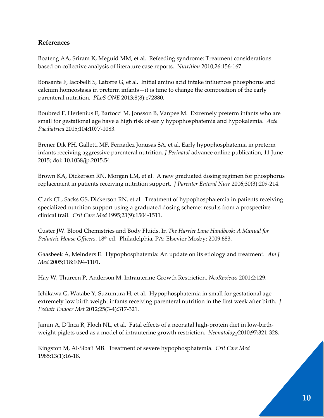## **References**

Boateng AA, Sriram K, Meguid MM, et al. Refeeding syndrome: Treatment considerations based on collective analysis of literature case reports. *Nutrition* 2010;26:156‐167.

Bonsante F, Iacobelli S, Latorre G, et al. Initial amino acid intake influences phosphorus and calcium homeostasis in preterm infants—it is time to change the composition of the early parenteral nutrition. *PLoS ONE* 2013;8(8):e72880.

Boubred F, Herlenius E, Bartocci M, Jonsson B, Vanpee M. Extremely preterm infants who are small for gestational age have a high risk of early hypophosphatemia and hypokalemia. *Acta Paediatrica* 2015;104:1077‐1083.

Brener Dik PH, Galletti MF, Fernadez Jonusas SA, et al. Early hypophosphatemia in preterm infants receiving aggressive parenteral nutrition*. J Perinatol* advance online publication, 11 June 2015; doi: 10.1038/jp.2015.54

Brown KA, Dickerson RN, Morgan LM, et al. A new graduated dosing regimen for phosphorus replacement in patients receiving nutrition support. *J Parenter Enteral Nutr* 2006;30(3):209‐214.

Clark CL, Sacks GS, Dickerson RN, et al. Treatment of hypophosphatemia in patients receiving specialized nutrition support using a graduated dosing scheme: results from a prospective clinical trail. *Crit Care Med* 1995;23(9):1504‐1511.

Custer JW. Blood Chemistries and Body Fluids. In *The Harriet Lane Handbook: A Manual for Pediatric House Officers*. 18th ed. Philadelphia, PA: Elsevier Mosby; 2009:683.

Gaasbeek A, Meinders E. Hypophosphatemia: An update on its etiology and treatment. *Am J Med* 2005;118:1094‐1101.

Hay W, Thureen P, Anderson M. Intrauterine Growth Restriction. *NeoReviews* 2001;2:129.

Ichikawa G, Watabe Y, Suzumura H, et al. Hypophosphatemia in small for gestational age extremely low birth weight infants receiving parenteral nutrition in the first week after birth. *J Pediatr Endocr Met* 2012;25(3‐4):317‐321.

Jamin A, D'Inca R, Floch NL, et al. Fatal effects of a neonatal high‐protein diet in low‐birth‐ weight piglets used as a model of intrauterine growth restriction. *Neonatology*2010;97:321‐328.

Kingston M, Al‐Siba'i MB. Treatment of severe hypophosphatemia. *Crit Care Med* 1985;13(1):16‐18.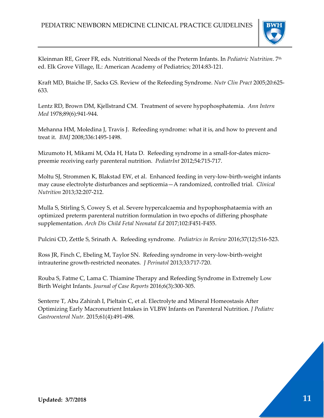

Kleinman RE, Greer FR, eds. Nutritional Needs of the Preterm Infants. In *Pediatric Nutrition*. 7th ed. Elk Grove Village, IL: American Academy of Pediatrics; 2014:83‐121.

Kraft MD, Btaiche IF, Sacks GS. Review of the Refeeding Syndrome. *Nutr Clin Pract* 2005;20:625‐ 633.

Lentz RD, Brown DM, Kjellstrand CM. Treatment of severe hypophosphatemia. *Ann Intern Med* 1978;89(6):941‐944.

Mehanna HM, Moledina J, Travis J. Refeeding syndrome: what it is, and how to prevent and treat it. *BMJ* 2008;336:1495‐1498.

Mizumoto H, Mikami M, Oda H, Hata D. Refeeding syndrome in a small-for-dates micropreemie receiving early parenteral nutrition. *PediatrInt* 2012;54:715‐717.

Moltu SJ, Strommen K, Blakstad EW, et al. Enhanced feeding in very‐low‐birth‐weight infants may cause electrolyte disturbances and septicemia—A randomized, controlled trial. *Clinical Nutrition* 2013;32:207‐212.

Mulla S, Stirling S, Cowey S, et al. Severe hypercalcaemia and hypophosphataemia with an optimized preterm parenteral nutrition formulation in two epochs of differing phosphate supplementation. *Arch Dis Child Fetal Neonatal Ed* 2017;102:F451‐F455.

Pulcini CD, Zettle S, Srinath A. Refeeding syndrome. *Pediatrics in Review* 2016;37(12):516‐523.

Ross JR, Finch C, Ebeling M, Taylor SN. Refeeding syndrome in very‐low‐birth‐weight intrauterine growth‐restricted neonates. *J Perinatol* 2013;33:717‐720.

Rouba S, Fatme C, Lama C. Thiamine Therapy and Refeeding Syndrome in Extremely Low Birth Weight Infants. *Journal of Case Reports* 2016;6(3):300‐305.

Senterre T, Abu Zahirah I, Pieltain C, et al. Electrolyte and Mineral Homeostasis After Optimizing Early Macronutrient Intakes in VLBW Infants on Parenteral Nutrition. *J Pediatrc Gastroenterol Nutr.* 2015;61(4):491‐498.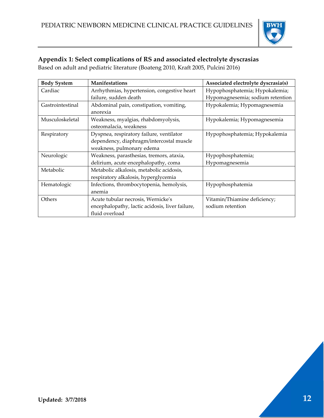

# **Appendix 1: Select complications of RS and associated electrolyte dyscrasias**

Based on adult and pediatric literature (Boateng 2010, Kraft 2005, Pulcini 2016)

| <b>Body System</b> | <b>Manifestations</b>                           | Associated electrolyte dyscrasia(s) |
|--------------------|-------------------------------------------------|-------------------------------------|
| Cardiac            | Arrhythmias, hypertension, congestive heart     | Hypophosphatemia; Hypokalemia;      |
|                    | failure, sudden death                           | Hypomagnesemia; sodium retention    |
| Gastrointestinal   | Abdominal pain, constipation, vomiting,         | Hypokalemia; Hypomagnesemia         |
|                    | anorexia                                        |                                     |
| Musculoskeletal    | Weakness, myalgias, rhabdomyolysis,             | Hypokalemia; Hypomagnesemia         |
|                    | osteomalacia, weakness                          |                                     |
| Respiratory        | Dyspnea, respiratory failure, ventilator        | Hypophosphatemia; Hypokalemia       |
|                    | dependency, diaphragm/intercostal muscle        |                                     |
|                    | weakness, pulmonary edema                       |                                     |
| Neurologic         | Weakness, parasthesias, tremors, ataxia,        | Hypophosphatemia;                   |
|                    | delirium, acute encephalopathy, coma            | Hypomagnesemia                      |
| Metabolic          | Metabolic alkalosis, metabolic acidosis,        |                                     |
|                    | respiratory alkalosis, hyperglycemia            |                                     |
| Hematologic        | Infections, thrombocytopenia, hemolysis,        | Hypophosphatemia                    |
|                    | anemia                                          |                                     |
| Others             | Acute tubular necrosis, Wernicke's              | Vitamin/Thiamine deficiency;        |
|                    | encephalopathy, lactic acidosis, liver failure, | sodium retention                    |
|                    | fluid overload                                  |                                     |